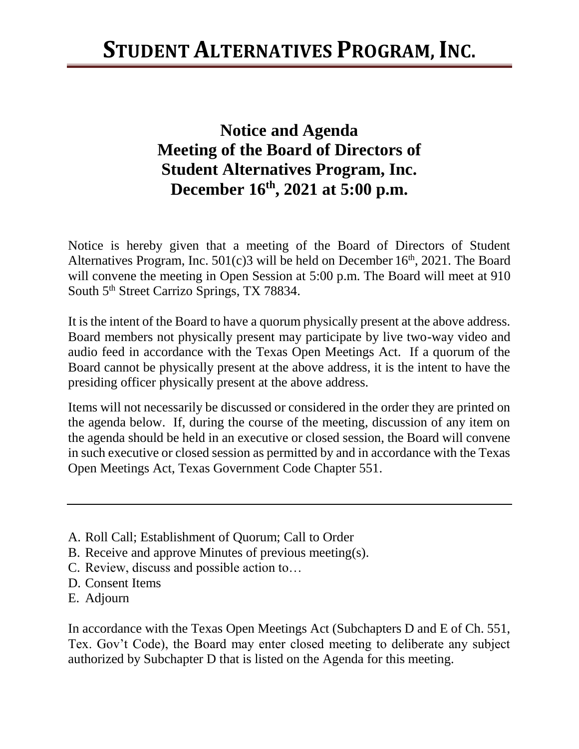## **Notice and Agenda Meeting of the Board of Directors of Student Alternatives Program, Inc. December 16 th , 2021 at 5:00 p.m.**

Notice is hereby given that a meeting of the Board of Directors of Student Alternatives Program, Inc.  $501(c)3$  will be held on December  $16<sup>th</sup>$ , 2021. The Board will convene the meeting in Open Session at 5:00 p.m. The Board will meet at 910 South 5<sup>th</sup> Street Carrizo Springs, TX 78834.

It is the intent of the Board to have a quorum physically present at the above address. Board members not physically present may participate by live two-way video and audio feed in accordance with the Texas Open Meetings Act. If a quorum of the Board cannot be physically present at the above address, it is the intent to have the presiding officer physically present at the above address.

Items will not necessarily be discussed or considered in the order they are printed on the agenda below. If, during the course of the meeting, discussion of any item on the agenda should be held in an executive or closed session, the Board will convene in such executive or closed session as permitted by and in accordance with the Texas Open Meetings Act, Texas Government Code Chapter 551.

- A. Roll Call; Establishment of Quorum; Call to Order
- B. Receive and approve Minutes of previous meeting(s).
- C. Review, discuss and possible action to…
- D. Consent Items
- E. Adjourn

In accordance with the Texas Open Meetings Act (Subchapters D and E of Ch. 551, Tex. Gov't Code), the Board may enter closed meeting to deliberate any subject authorized by Subchapter D that is listed on the Agenda for this meeting.